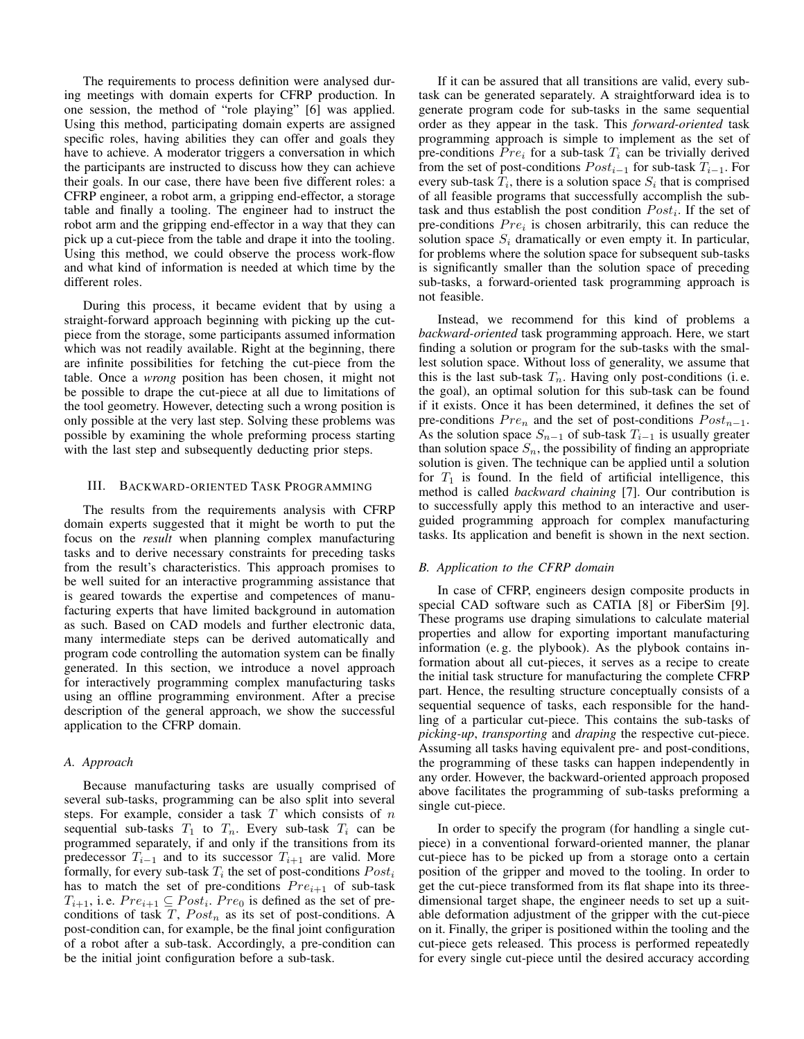The requirements to process definition were analysed during meetings with domain experts for CFRP production. In one session, the method of "role playing" [6] was applied. Using this method, participating domain experts are assigned specific roles, having abilities they can offer and goals they have to achieve. A moderator triggers a conversation in which the participants are instructed to discuss how they can achieve their goals. In our case, there have been five different roles: a CFRP engineer, a robot arm, a gripping end-effector, a storage table and finally a tooling. The engineer had to instruct the robot arm and the gripping end-effector in a way that they can pick up a cut-piece from the table and drape it into the tooling. Using this method, we could observe the process work-flow and what kind of information is needed at which time by the different roles.

During this process, it became evident that by using a straight-forward approach beginning with picking up the cutpiece from the storage, some participants assumed information which was not readily available. Right at the beginning, there are infinite possibilities for fetching the cut-piece from the table. Once a *wrong* position has been chosen, it might not be possible to drape the cut-piece at all due to limitations of the tool geometry. However, detecting such a wrong position is only possible at the very last step. Solving these problems was possible by examining the whole preforming process starting with the last step and subsequently deducting prior steps.

### III. BACKWARD-ORIENTED TASK PROGRAMMING

The results from the requirements analysis with CFRP domain experts suggested that it might be worth to put the focus on the *result* when planning complex manufacturing tasks and to derive necessary constraints for preceding tasks from the result's characteristics. This approach promises to be well suited for an interactive programming assistance that is geared towards the expertise and competences of manufacturing experts that have limited background in automation as such. Based on CAD models and further electronic data, many intermediate steps can be derived automatically and program code controlling the automation system can be finally generated. In this section, we introduce a novel approach for interactively programming complex manufacturing tasks using an offline programming environment. After a precise description of the general approach, we show the successful application to the CFRP domain.

## *A. Approach*

Because manufacturing tasks are usually comprised of several sub-tasks, programming can be also split into several steps. For example, consider a task  $T$  which consists of  $n$ sequential sub-tasks  $T_1$  to  $T_n$ . Every sub-task  $T_i$  can be programmed separately, if and only if the transitions from its predecessor  $T_{i-1}$  and to its successor  $T_{i+1}$  are valid. More formally, for every sub-task  $T_i$  the set of post-conditions  $Post_i$ has to match the set of pre-conditions  $Pre_{i+1}$  of sub-task  $T_{i+1}$ , i. e.  $Pre_{i+1} \subseteq Post_i$ .  $Pre_0$  is defined as the set of preconditions of task  $T$ ,  $Post<sub>n</sub>$  as its set of post-conditions. A post-condition can, for example, be the final joint configuration of a robot after a sub-task. Accordingly, a pre-condition can be the initial joint configuration before a sub-task.

If it can be assured that all transitions are valid, every subtask can be generated separately. A straightforward idea is to generate program code for sub-tasks in the same sequential order as they appear in the task. This *forward-oriented* task programming approach is simple to implement as the set of pre-conditions  $Pre_i$  for a sub-task  $T_i$  can be trivially derived from the set of post-conditions  $Post_{i-1}$  for sub-task  $T_{i-1}$ . For every sub-task  $T_i$ , there is a solution space  $S_i$  that is comprised of all feasible programs that successfully accomplish the subtask and thus establish the post condition  $Post<sub>i</sub>$ . If the set of pre-conditions  $Pre_i$  is chosen arbitrarily, this can reduce the solution space  $S_i$  dramatically or even empty it. In particular, for problems where the solution space for subsequent sub-tasks is significantly smaller than the solution space of preceding sub-tasks, a forward-oriented task programming approach is not feasible.

Instead, we recommend for this kind of problems a *backward-oriented* task programming approach. Here, we start finding a solution or program for the sub-tasks with the smallest solution space. Without loss of generality, we assume that this is the last sub-task  $T_n$ . Having only post-conditions (i.e. the goal), an optimal solution for this sub-task can be found if it exists. Once it has been determined, it defines the set of pre-conditions  $Pre_n$  and the set of post-conditions  $Post_{n-1}$ . As the solution space  $S_{n-1}$  of sub-task  $T_{i-1}$  is usually greater than solution space  $S_n$ , the possibility of finding an appropriate solution is given. The technique can be applied until a solution for  $T_1$  is found. In the field of artificial intelligence, this method is called *backward chaining* [7]. Our contribution is to successfully apply this method to an interactive and userguided programming approach for complex manufacturing tasks. Its application and benefit is shown in the next section.

## *B. Application to the CFRP domain*

In case of CFRP, engineers design composite products in special CAD software such as CATIA [8] or FiberSim [9]. These programs use draping simulations to calculate material properties and allow for exporting important manufacturing information (e. g. the plybook). As the plybook contains information about all cut-pieces, it serves as a recipe to create the initial task structure for manufacturing the complete CFRP part. Hence, the resulting structure conceptually consists of a sequential sequence of tasks, each responsible for the handling of a particular cut-piece. This contains the sub-tasks of *picking-up*, *transporting* and *draping* the respective cut-piece. Assuming all tasks having equivalent pre- and post-conditions, the programming of these tasks can happen independently in any order. However, the backward-oriented approach proposed above facilitates the programming of sub-tasks preforming a single cut-piece.

In order to specify the program (for handling a single cutpiece) in a conventional forward-oriented manner, the planar cut-piece has to be picked up from a storage onto a certain position of the gripper and moved to the tooling. In order to get the cut-piece transformed from its flat shape into its threedimensional target shape, the engineer needs to set up a suitable deformation adjustment of the gripper with the cut-piece on it. Finally, the griper is positioned within the tooling and the cut-piece gets released. This process is performed repeatedly for every single cut-piece until the desired accuracy according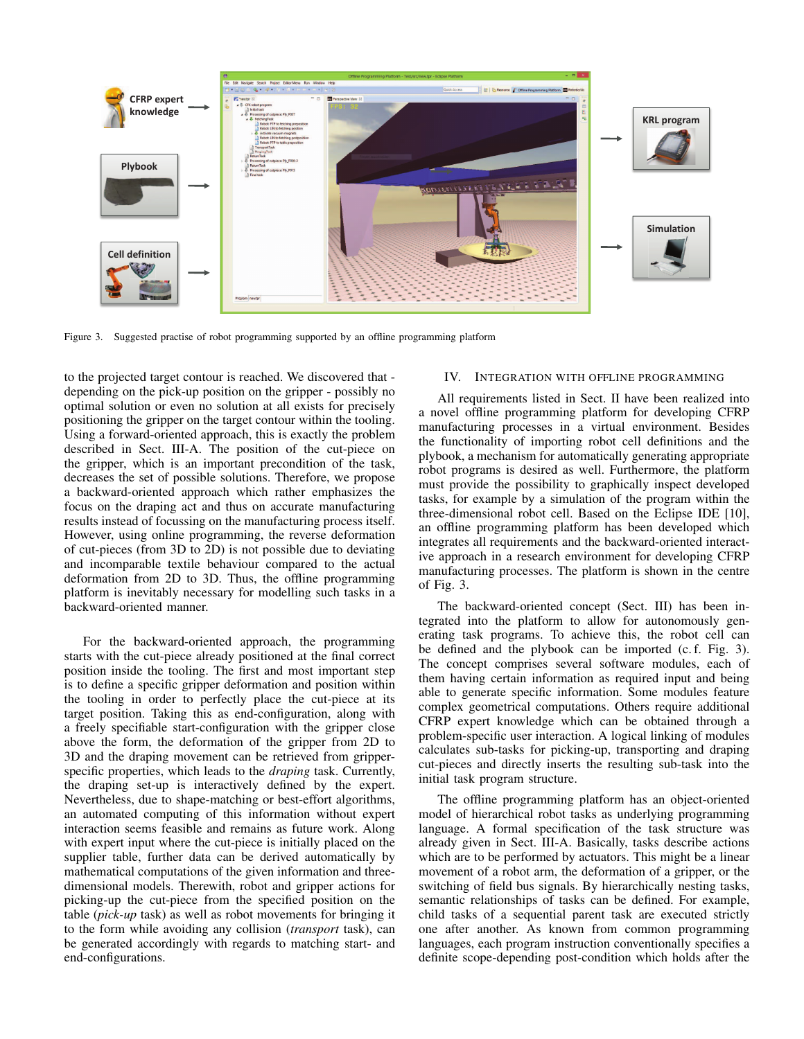

Figure 3. Suggested practise of robot programming supported by an offline programming platform

to the projected target contour is reached. We discovered that depending on the pick-up position on the gripper - possibly no optimal solution or even no solution at all exists for precisely positioning the gripper on the target contour within the tooling. Using a forward-oriented approach, this is exactly the problem described in Sect. III-A. The position of the cut-piece on the gripper, which is an important precondition of the task, decreases the set of possible solutions. Therefore, we propose a backward-oriented approach which rather emphasizes the focus on the draping act and thus on accurate manufacturing results instead of focussing on the manufacturing process itself. However, using online programming, the reverse deformation of cut-pieces (from 3D to 2D) is not possible due to deviating and incomparable textile behaviour compared to the actual deformation from 2D to 3D. Thus, the offline programming platform is inevitably necessary for modelling such tasks in a backward-oriented manner.

For the backward-oriented approach, the programming starts with the cut-piece already positioned at the final correct position inside the tooling. The first and most important step is to define a specific gripper deformation and position within the tooling in order to perfectly place the cut-piece at its target position. Taking this as end-configuration, along with a freely specifiable start-configuration with the gripper close above the form, the deformation of the gripper from 2D to 3D and the draping movement can be retrieved from gripperspecific properties, which leads to the *draping* task. Currently, the draping set-up is interactively defined by the expert. Nevertheless, due to shape-matching or best-effort algorithms, an automated computing of this information without expert interaction seems feasible and remains as future work. Along with expert input where the cut-piece is initially placed on the supplier table, further data can be derived automatically by mathematical computations of the given information and threedimensional models. Therewith, robot and gripper actions for picking-up the cut-piece from the specified position on the table (*pick-up* task) as well as robot movements for bringing it to the form while avoiding any collision (*transport* task), can be generated accordingly with regards to matching start- and end-configurations.

# IV. INTEGRATION WITH OFFLINE PROGRAMMING

All requirements listed in Sect. II have been realized into a novel offline programming platform for developing CFRP manufacturing processes in a virtual environment. Besides the functionality of importing robot cell definitions and the plybook, a mechanism for automatically generating appropriate robot programs is desired as well. Furthermore, the platform must provide the possibility to graphically inspect developed tasks, for example by a simulation of the program within the three-dimensional robot cell. Based on the Eclipse IDE [10], an offline programming platform has been developed which integrates all requirements and the backward-oriented interactive approach in a research environment for developing CFRP manufacturing processes. The platform is shown in the centre of Fig. 3.

The backward-oriented concept (Sect. III) has been integrated into the platform to allow for autonomously generating task programs. To achieve this, the robot cell can be defined and the plybook can be imported (c. f. Fig. 3). The concept comprises several software modules, each of them having certain information as required input and being able to generate specific information. Some modules feature complex geometrical computations. Others require additional CFRP expert knowledge which can be obtained through a problem-specific user interaction. A logical linking of modules calculates sub-tasks for picking-up, transporting and draping cut-pieces and directly inserts the resulting sub-task into the initial task program structure.

The offline programming platform has an object-oriented model of hierarchical robot tasks as underlying programming language. A formal specification of the task structure was already given in Sect. III-A. Basically, tasks describe actions which are to be performed by actuators. This might be a linear movement of a robot arm, the deformation of a gripper, or the switching of field bus signals. By hierarchically nesting tasks, semantic relationships of tasks can be defined. For example, child tasks of a sequential parent task are executed strictly one after another. As known from common programming languages, each program instruction conventionally specifies a definite scope-depending post-condition which holds after the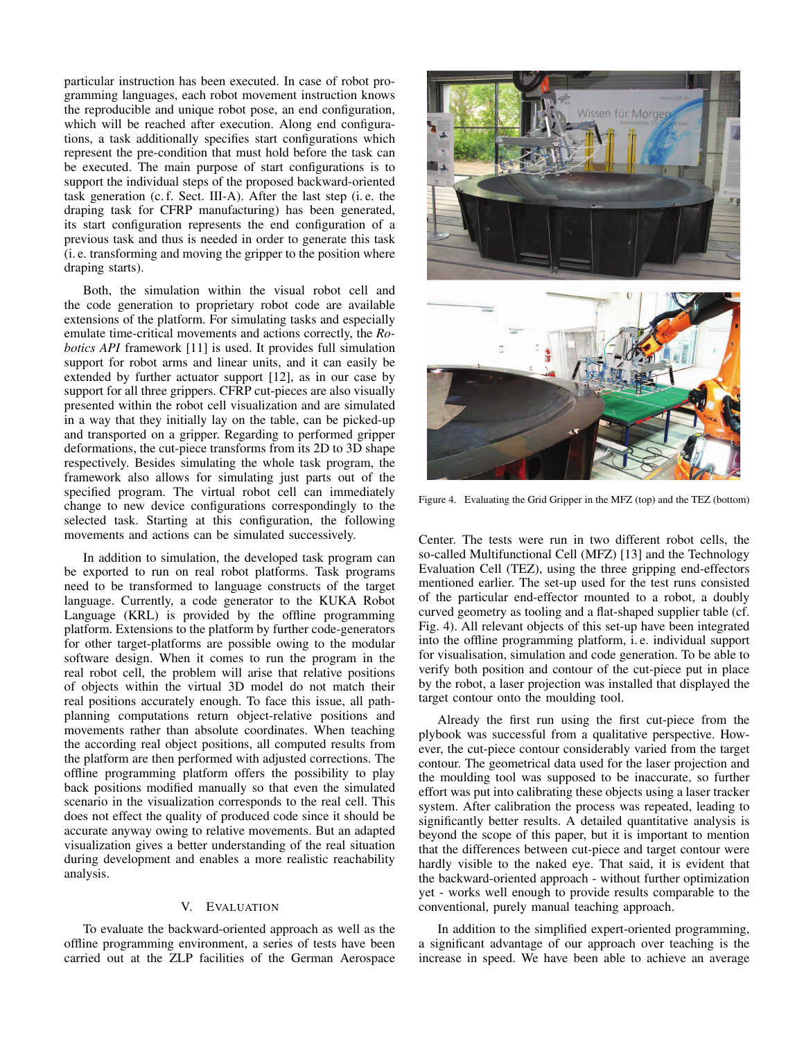particular instruction has been executed. In case of robot programming languages, each robot movement instruction knows the reproducible and unique robot pose, an end configuration, which will be reached after execution. Along end configurations, a task additionally specifies start configurations which represent the pre-condition that must hold before the task can be executed. The main purpose of start configurations is to support the individual steps of the proposed backward-oriented task generation (c. f. Sect. III-A). After the last step (i. e. the draping task for CFRP manufacturing) has been generated, its start configuration represents the end configuration of a previous task and thus is needed in order to generate this task (i. e. transforming and moving the gripper to the position where draping starts).

Both, the simulation within the visual robot cell and the code generation to proprietary robot code are available extensions of the platform. For simulating tasks and especially emulate time-critical movements and actions correctly, the *Robotics API* framework [11] is used. It provides full simulation support for robot arms and linear units, and it can easily be extended by further actuator support [12], as in our case by support for all three grippers. CFRP cut-pieces are also visually presented within the robot cell visualization and are simulated in a way that they initially lay on the table, can be picked-up and transported on a gripper. Regarding to performed gripper deformations, the cut-piece transforms from its 2D to 3D shape respectively. Besides simulating the whole task program, the framework also allows for simulating just parts out of the specified program. The virtual robot cell can immediately change to new device configurations correspondingly to the selected task. Starting at this configuration, the following movements and actions can be simulated successively.

In addition to simulation, the developed task program can be exported to run on real robot platforms. Task programs need to be transformed to language constructs of the target language. Currently, a code generator to the KUKA Robot Language (KRL) is provided by the offline programming platform. Extensions to the platform by further code-generators for other target-platforms are possible owing to the modular software design. When it comes to run the program in the real robot cell, the problem will arise that relative positions of objects within the virtual 3D model do not match their real positions accurately enough. To face this issue, all pathplanning computations return object-relative positions and movements rather than absolute coordinates. When teaching the according real object positions, all computed results from the platform are then performed with adjusted corrections. The offline programming platform offers the possibility to play back positions modified manually so that even the simulated scenario in the visualization corresponds to the real cell. This does not effect the quality of produced code since it should be accurate anyway owing to relative movements. But an adapted visualization gives a better understanding of the real situation during development and enables a more realistic reachability analysis.

# V. EVALUATION

To evaluate the backward-oriented approach as well as the offline programming environment, a series of tests have been carried out at the ZLP facilities of the German Aerospace



Figure 4. Evaluating the Grid Gripper in the MFZ (top) and the TEZ (bottom)

Center. The tests were run in two different robot cells, the so-called Multifunctional Cell (MFZ) [13] and the Technology Evaluation Cell (TEZ), using the three gripping end-effectors mentioned earlier. The set-up used for the test runs consisted of the particular end-effector mounted to a robot, a doubly curved geometry as tooling and a flat-shaped supplier table (cf. Fig. 4). All relevant objects of this set-up have been integrated into the offline programming platform, i. e. individual support for visualisation, simulation and code generation. To be able to verify both position and contour of the cut-piece put in place by the robot, a laser projection was installed that displayed the target contour onto the moulding tool.

Already the first run using the first cut-piece from the plybook was successful from a qualitative perspective. However, the cut-piece contour considerably varied from the target contour. The geometrical data used for the laser projection and the moulding tool was supposed to be inaccurate, so further effort was put into calibrating these objects using a laser tracker system. After calibration the process was repeated, leading to significantly better results. A detailed quantitative analysis is beyond the scope of this paper, but it is important to mention that the differences between cut-piece and target contour were hardly visible to the naked eye. That said, it is evident that the backward-oriented approach - without further optimization yet - works well enough to provide results comparable to the conventional, purely manual teaching approach.

In addition to the simplified expert-oriented programming, a significant advantage of our approach over teaching is the increase in speed. We have been able to achieve an average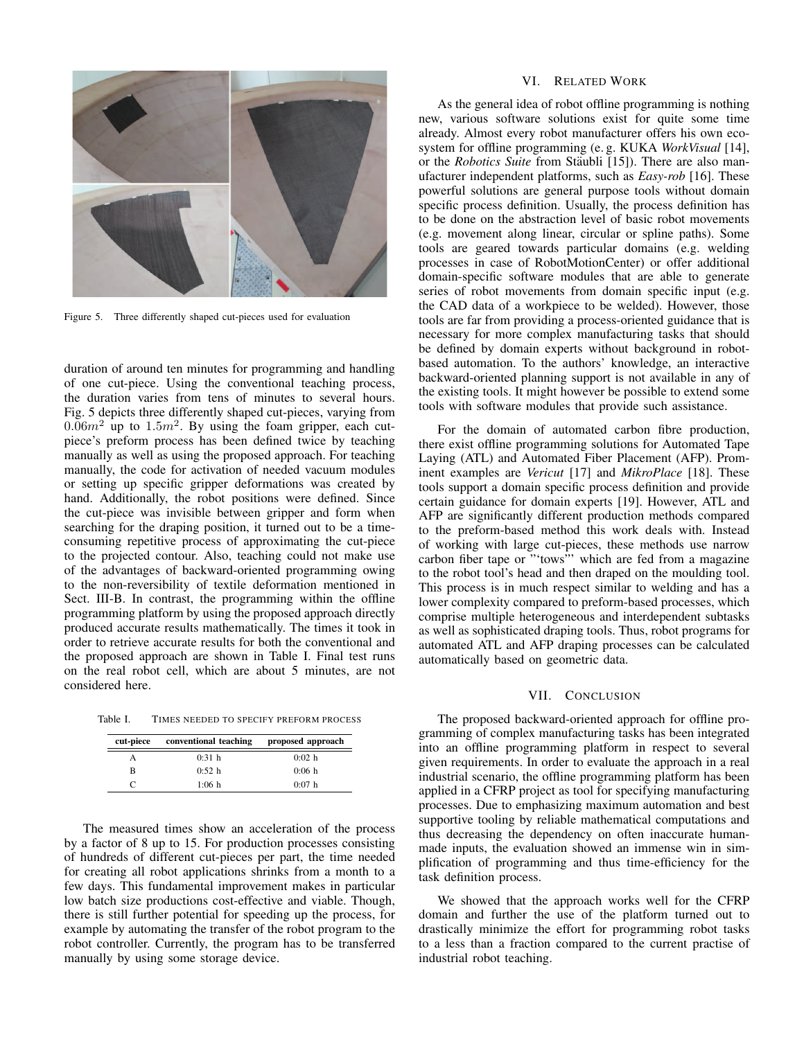

Figure 5. Three differently shaped cut-pieces used for evaluation

duration of around ten minutes for programming and handling of one cut-piece. Using the conventional teaching process, the duration varies from tens of minutes to several hours. Fig. 5 depicts three differently shaped cut-pieces, varying from  $0.06m<sup>2</sup>$  up to  $1.5m<sup>2</sup>$ . By using the foam gripper, each cutpiece's preform process has been defined twice by teaching manually as well as using the proposed approach. For teaching manually, the code for activation of needed vacuum modules or setting up specific gripper deformations was created by hand. Additionally, the robot positions were defined. Since the cut-piece was invisible between gripper and form when searching for the draping position, it turned out to be a timeconsuming repetitive process of approximating the cut-piece to the projected contour. Also, teaching could not make use of the advantages of backward-oriented programming owing to the non-reversibility of textile deformation mentioned in Sect. III-B. In contrast, the programming within the offline programming platform by using the proposed approach directly produced accurate results mathematically. The times it took in order to retrieve accurate results for both the conventional and the proposed approach are shown in Table I. Final test runs on the real robot cell, which are about 5 minutes, are not considered here.

Table I. TIMES NEEDED TO SPECIFY PREFORM PROCESS

| cut-piece | conventional teaching | proposed approach |
|-----------|-----------------------|-------------------|
|           | 0:31 <sub>h</sub>     | $0:02$ h          |
| в         | 0:52 h                | 0:06h             |
|           | 1:06 h                | 0:07h             |

The measured times show an acceleration of the process by a factor of 8 up to 15. For production processes consisting of hundreds of different cut-pieces per part, the time needed for creating all robot applications shrinks from a month to a few days. This fundamental improvement makes in particular low batch size productions cost-effective and viable. Though, there is still further potential for speeding up the process, for example by automating the transfer of the robot program to the robot controller. Currently, the program has to be transferred manually by using some storage device.

## VI. RELATED WORK

As the general idea of robot offline programming is nothing new, various software solutions exist for quite some time already. Almost every robot manufacturer offers his own ecosystem for offline programming (e. g. KUKA *WorkVisual* [14], or the *Robotics Suite* from Stäubli [15]). There are also manufacturer independent platforms, such as *Easy-rob* [16]. These powerful solutions are general purpose tools without domain specific process definition. Usually, the process definition has to be done on the abstraction level of basic robot movements (e.g. movement along linear, circular or spline paths). Some tools are geared towards particular domains (e.g. welding processes in case of RobotMotionCenter) or offer additional domain-specific software modules that are able to generate series of robot movements from domain specific input (e.g. the CAD data of a workpiece to be welded). However, those tools are far from providing a process-oriented guidance that is necessary for more complex manufacturing tasks that should be defined by domain experts without background in robotbased automation. To the authors' knowledge, an interactive backward-oriented planning support is not available in any of the existing tools. It might however be possible to extend some tools with software modules that provide such assistance.

For the domain of automated carbon fibre production, there exist offline programming solutions for Automated Tape Laying (ATL) and Automated Fiber Placement (AFP). Prominent examples are *Vericut* [17] and *MikroPlace* [18]. These tools support a domain specific process definition and provide certain guidance for domain experts [19]. However, ATL and AFP are significantly different production methods compared to the preform-based method this work deals with. Instead of working with large cut-pieces, these methods use narrow carbon fiber tape or "'tows"' which are fed from a magazine to the robot tool's head and then draped on the moulding tool. This process is in much respect similar to welding and has a lower complexity compared to preform-based processes, which comprise multiple heterogeneous and interdependent subtasks as well as sophisticated draping tools. Thus, robot programs for automated ATL and AFP draping processes can be calculated automatically based on geometric data.

#### VII. CONCLUSION

The proposed backward-oriented approach for offline programming of complex manufacturing tasks has been integrated into an offline programming platform in respect to several given requirements. In order to evaluate the approach in a real industrial scenario, the offline programming platform has been applied in a CFRP project as tool for specifying manufacturing processes. Due to emphasizing maximum automation and best supportive tooling by reliable mathematical computations and thus decreasing the dependency on often inaccurate humanmade inputs, the evaluation showed an immense win in simplification of programming and thus time-efficiency for the task definition process.

We showed that the approach works well for the CFRP domain and further the use of the platform turned out to drastically minimize the effort for programming robot tasks to a less than a fraction compared to the current practise of industrial robot teaching.